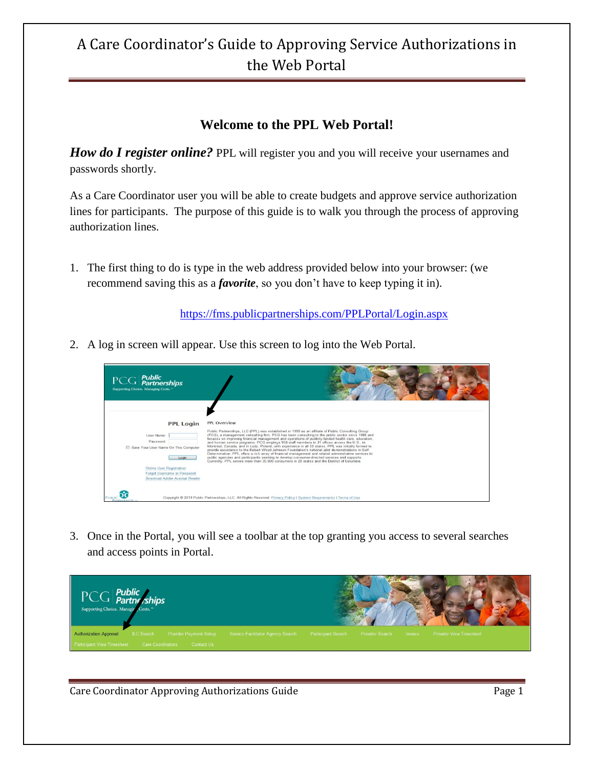#### **Welcome to the PPL Web Portal!**

*How do I register online?* PPL will register you and you will receive your usernames and passwords shortly.

As a Care Coordinator user you will be able to create budgets and approve service authorization lines for participants. The purpose of this guide is to walk you through the process of approving authorization lines.

1. The first thing to do is type in the web address provided below into your browser: (we recommend saving this as a *favorite*, so you don't have to keep typing it in).

<https://fms.publicpartnerships.com/PPLPortal/Login.aspx>

2. A log in screen will appear. Use this screen to log into the Web Portal.



3. Once in the Portal, you will see a toolbar at the top granting you access to several searches and access points in Portal.

| $\overline{\text{PCC}}$ <b>Public</b><br>Supporting Choice. Managin Costs." |                                   |                           |                         |                                |  |
|-----------------------------------------------------------------------------|-----------------------------------|---------------------------|-------------------------|--------------------------------|--|
| <b>Authorization Approval</b><br>ILC Search Provider Payment Setup          | Service Facilitator Agency Search | <b>Participant Search</b> | Provider Search Invoice | <b>Provider View Timesheet</b> |  |
| Participant View Timesheet Care Coordinators<br>Contact Us                  |                                   |                           |                         |                                |  |

Care Coordinator Approving Authorizations Guide **Page 1** and Page 1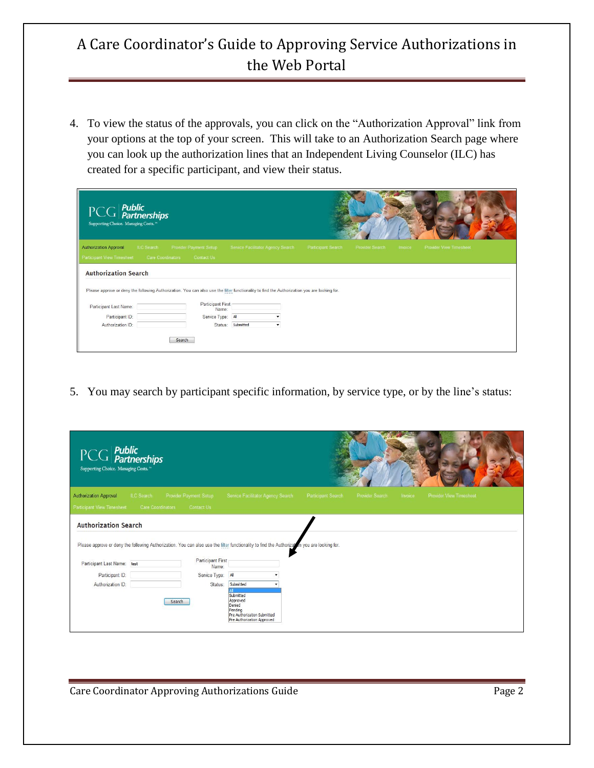4. To view the status of the approvals, you can click on the "Authorization Approval" link from your options at the top of your screen. This will take to an Authorization Search page where you can look up the authorization lines that an Independent Living Counselor (ILC) has created for a specific participant, and view their status.

| $PCG$ <i>Public</i><br><i>Partnerships</i><br>Supporting Choice. Managing Costs. <sup>10</sup> |                   |                                                                                                                                                                   |                                   |                    |                 |         |                                |  |
|------------------------------------------------------------------------------------------------|-------------------|-------------------------------------------------------------------------------------------------------------------------------------------------------------------|-----------------------------------|--------------------|-----------------|---------|--------------------------------|--|
| <b>Authorization Approval</b>                                                                  | ILC Search        | <b>Provider Payment Setup</b>                                                                                                                                     | Service Facilitator Agency Search | Participant Search | Provider Search | Invoice | <b>Provider View Timesheet</b> |  |
| Participant View Timesheet                                                                     | Care Coordinators | Contact Us                                                                                                                                                        |                                   |                    |                 |         |                                |  |
| <b>Authorization Search</b>                                                                    |                   |                                                                                                                                                                   |                                   |                    |                 |         |                                |  |
|                                                                                                |                   | Please approve or deny the following Authorization. You can also use the filter functionality to find the Authorization you are looking for.<br>Participant First |                                   |                    |                 |         |                                |  |
| Participant Last Name:                                                                         |                   | Name:                                                                                                                                                             |                                   |                    |                 |         |                                |  |
| Participant ID:                                                                                |                   | Service Type: All                                                                                                                                                 |                                   |                    |                 |         |                                |  |
| Authorization ID:                                                                              |                   | Status:                                                                                                                                                           | Submitted<br>۰                    |                    |                 |         |                                |  |
|                                                                                                |                   | Search                                                                                                                                                            |                                   |                    |                 |         |                                |  |

5. You may search by participant specific information, by service type, or by the line's status:

| $PCG$ <i>Public</i><br>$PCG$ <i>Partnerships</i><br>Supporting Choice. Managing Costs. <sup>™</sup> |                   |                                                                                                                                                                            |                                                                                                         |                    |                 |         |                                |  |
|-----------------------------------------------------------------------------------------------------|-------------------|----------------------------------------------------------------------------------------------------------------------------------------------------------------------------|---------------------------------------------------------------------------------------------------------|--------------------|-----------------|---------|--------------------------------|--|
| <b>Authorization Approval</b>                                                                       | ILC Search        | Provider Payment Setup                                                                                                                                                     | Service Facilitator Agency Search                                                                       | Participant Search | Provider Search | Invoice | <b>Provider View Timesheet</b> |  |
| Participant View Timesheet                                                                          | Care Coordinators | Contact Us                                                                                                                                                                 |                                                                                                         |                    |                 |         |                                |  |
| <b>Authorization Search</b>                                                                         |                   |                                                                                                                                                                            |                                                                                                         |                    |                 |         |                                |  |
| Participant Last Name: test                                                                         |                   | Please approve or deny the following Authorization. You can also use the filter functionality to find the Authorization you are looking for.<br>Participant First<br>Name: |                                                                                                         |                    |                 |         |                                |  |
| Participant ID:                                                                                     |                   | Service Type: All                                                                                                                                                          |                                                                                                         |                    |                 |         |                                |  |
| Authorization ID:                                                                                   |                   | Status:                                                                                                                                                                    | Submitted                                                                                               |                    |                 |         |                                |  |
|                                                                                                     |                   | Search                                                                                                                                                                     | Submitted<br>Approved<br>Denied<br>Pending<br>Pre Authorization Submitted<br>Pre Authorization Approved |                    |                 |         |                                |  |

Care Coordinator Approving Authorizations Guide **Page 2** Page 2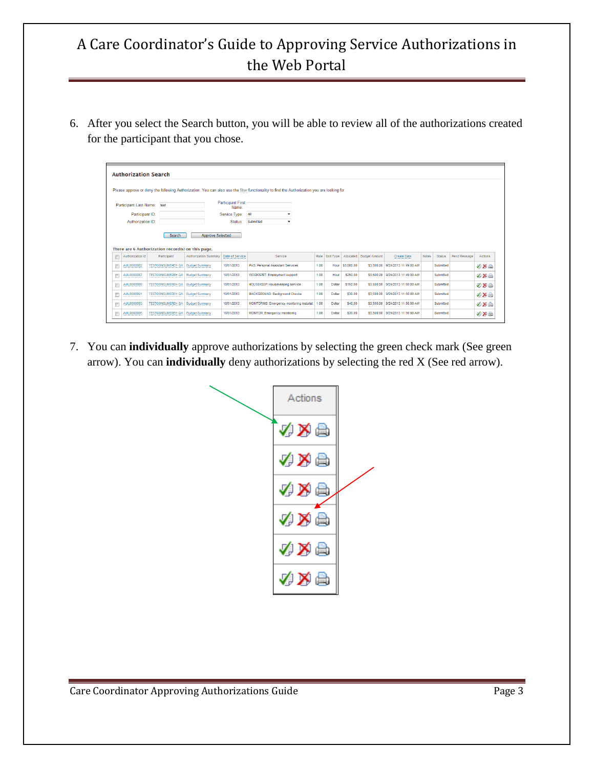6. After you select the Search button, you will be able to review all of the authorizations created for the participant that you chose.

|                             | <b>Authorization Search</b> |                                                   |                                                                  |                   |                                                                                                                                              |      |                        |                         |                                    |                                             |              |                            |              |                   |
|-----------------------------|-----------------------------|---------------------------------------------------|------------------------------------------------------------------|-------------------|----------------------------------------------------------------------------------------------------------------------------------------------|------|------------------------|-------------------------|------------------------------------|---------------------------------------------|--------------|----------------------------|--------------|-------------------|
|                             |                             |                                                   |                                                                  |                   | Please approve or deny the following Authorization. You can also use the filter functionality to find the Authorization you are looking for. |      |                        |                         |                                    |                                             |              |                            |              |                   |
| Participant Last Name: test |                             |                                                   | <b>Participant First</b><br>Name:                                |                   |                                                                                                                                              |      |                        |                         |                                    |                                             |              |                            |              |                   |
|                             | Participant ID:             |                                                   |                                                                  | Service Type: All | ۰                                                                                                                                            |      |                        |                         |                                    |                                             |              |                            |              |                   |
|                             | Authorization ID:           |                                                   |                                                                  | Status:           | Submitted<br>۰                                                                                                                               |      |                        |                         |                                    |                                             |              |                            |              |                   |
| 同                           | Authorization Id            | There are 6 Authorization record(s) on this page. |                                                                  |                   |                                                                                                                                              |      |                        |                         |                                    |                                             |              |                            |              |                   |
|                             | AUL0000082                  | Participant<br><b>TESTCONSUMEREH QA</b>           | Authorization Summary   Date of Service<br><b>Budget Summary</b> | 10/01/2013        | Service<br>PAS: Personal Assistant Services                                                                                                  | 1.00 | Rate Unit Type<br>Hour | Allocated<br>\$3,000.00 | <b>Budget Amount</b><br>\$3,500.00 | <b>Create Date</b><br>9/24/2013 11:49:00 AM | <b>Notes</b> | <b>Status</b><br>Submitted | Pend Message | Actions           |
| €<br>€                      | AUL0000087                  | <b>TESTCONSUMEREH QA</b>                          | <b>Budget Summary</b>                                            | 10/01/2013        | <b>WORKSPRT: Employment support</b>                                                                                                          | 1.00 | Hour                   | \$250.00                |                                    | \$3,500.00 9/24/2013 11:49:00 AM            |              | Submitted                  |              |                   |
| F                           | AUL0000089                  | <b>TESTCONSUMEREH QA</b>                          | <b>Budget Summary</b>                                            | 10/01/2013        | HOUSEKEEP: Housekeeping service                                                                                                              | 1.00 | Dollar                 | \$150.00                |                                    | \$3,500.00 9/24/2013 11:50:00 AM            |              | Submitted                  |              | √Xa<br>必め品<br>必め高 |
| n                           | AUL0000091                  | <b>TESTCONSUMEREH QA</b>                          | <b>Budget Summary</b>                                            | 10/01/2013        | <b>BACKGROUND: Background Checks</b>                                                                                                         | 1.00 | Dollar                 | \$30.00                 |                                    | \$3,500.00 9/24/2013 11:50:00 AM            |              | Submitted                  |              | 必要品               |
| F                           | AUL0000093                  | <b>TESTCONSUMEREH QA</b>                          | <b>Budget Summary</b>                                            | 10/01/2013        | MONITORINS: Emergency monitoring Installat                                                                                                   | 1.00 | <b>Dollar</b>          | \$40.00                 |                                    | \$3,500.00 9/24/2013 11:50:00 AM            |              | Submitted                  |              | <b>VXA</b>        |

7. You can **individually** approve authorizations by selecting the green check mark (See green arrow). You can **individually** deny authorizations by selecting the red X (See red arrow).